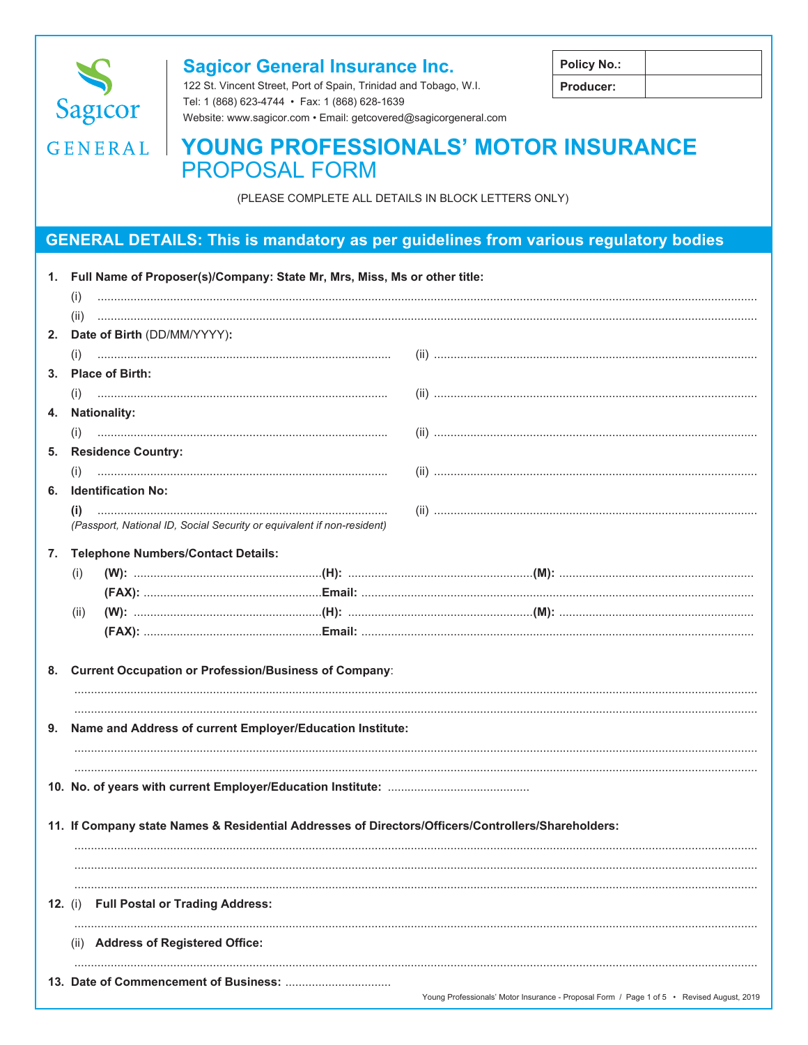

## **Sagicor General Insurance Inc.**

122 St. Vincent Street, Port of Spain, Trinidad and Tobago, W.I. Tel: 1 (868) 623-4744 · Fax: 1 (868) 628-1639 Website: www.sagicor.com · Email: getcovered@sagicorgeneral.com

| <b>Policy No.:</b> |  |
|--------------------|--|
| <b>Producer:</b>   |  |

# GENERAL | YOUNG PROFESSIONALS' MOTOR INSURANCE **PROPOSAL FORM**

(PLEASE COMPLETE ALL DETAILS IN BLOCK LETTERS ONLY)

## **GENERAL DETAILS: This is mandatory as per guidelines from various regulatory bodies**

|                | 1. Full Name of Proposer(s)/Company: State Mr, Mrs, Miss, Ms or other title:<br>(i) |                                                                                                    |                                                                                                                                                                                                                                                                                                                             |  |  |
|----------------|-------------------------------------------------------------------------------------|----------------------------------------------------------------------------------------------------|-----------------------------------------------------------------------------------------------------------------------------------------------------------------------------------------------------------------------------------------------------------------------------------------------------------------------------|--|--|
|                |                                                                                     |                                                                                                    |                                                                                                                                                                                                                                                                                                                             |  |  |
|                | (ii)                                                                                |                                                                                                    | $\begin{bmatrix} 1 & 0 & 0 & 0 \\ 0 & 0 & 0 & 0 \\ 0 & 0 & 0 & 0 \\ 0 & 0 & 0 & 0 \\ 0 & 0 & 0 & 0 & 0 \\ 0 & 0 & 0 & 0 & 0 \\ 0 & 0 & 0 & 0 & 0 \\ 0 & 0 & 0 & 0 & 0 \\ 0 & 0 & 0 & 0 & 0 & 0 \\ 0 & 0 & 0 & 0 & 0 & 0 \\ 0 & 0 & 0 & 0 & 0 & 0 & 0 \\ 0 & 0 & 0 & 0 & 0 & 0 & 0 \\ 0 & 0 & 0 & 0 & 0 & 0 & 0 \\ 0 & 0 & $ |  |  |
|                |                                                                                     | 2. Date of Birth (DD/MM/YYYY):                                                                     |                                                                                                                                                                                                                                                                                                                             |  |  |
|                | (i)                                                                                 |                                                                                                    |                                                                                                                                                                                                                                                                                                                             |  |  |
| 3.             |                                                                                     | <b>Place of Birth:</b>                                                                             |                                                                                                                                                                                                                                                                                                                             |  |  |
|                |                                                                                     | <b>Nationality:</b>                                                                                |                                                                                                                                                                                                                                                                                                                             |  |  |
| 4.             |                                                                                     |                                                                                                    |                                                                                                                                                                                                                                                                                                                             |  |  |
| 5.             |                                                                                     | <b>Residence Country:</b>                                                                          |                                                                                                                                                                                                                                                                                                                             |  |  |
|                |                                                                                     |                                                                                                    |                                                                                                                                                                                                                                                                                                                             |  |  |
| 6.             |                                                                                     | <b>Identification No:</b>                                                                          |                                                                                                                                                                                                                                                                                                                             |  |  |
|                |                                                                                     |                                                                                                    |                                                                                                                                                                                                                                                                                                                             |  |  |
|                |                                                                                     | (Passport, National ID, Social Security or equivalent if non-resident)                             |                                                                                                                                                                                                                                                                                                                             |  |  |
|                |                                                                                     | <b>Telephone Numbers/Contact Details:</b>                                                          |                                                                                                                                                                                                                                                                                                                             |  |  |
| 7.             |                                                                                     |                                                                                                    |                                                                                                                                                                                                                                                                                                                             |  |  |
|                | (i)                                                                                 |                                                                                                    |                                                                                                                                                                                                                                                                                                                             |  |  |
|                | (ii)                                                                                |                                                                                                    |                                                                                                                                                                                                                                                                                                                             |  |  |
|                |                                                                                     |                                                                                                    |                                                                                                                                                                                                                                                                                                                             |  |  |
|                |                                                                                     |                                                                                                    |                                                                                                                                                                                                                                                                                                                             |  |  |
|                |                                                                                     | 8. Current Occupation or Profession/Business of Company:                                           |                                                                                                                                                                                                                                                                                                                             |  |  |
|                |                                                                                     |                                                                                                    |                                                                                                                                                                                                                                                                                                                             |  |  |
|                |                                                                                     |                                                                                                    |                                                                                                                                                                                                                                                                                                                             |  |  |
| 9.             | Name and Address of current Employer/Education Institute:                           |                                                                                                    |                                                                                                                                                                                                                                                                                                                             |  |  |
|                |                                                                                     |                                                                                                    |                                                                                                                                                                                                                                                                                                                             |  |  |
|                |                                                                                     |                                                                                                    |                                                                                                                                                                                                                                                                                                                             |  |  |
|                |                                                                                     |                                                                                                    |                                                                                                                                                                                                                                                                                                                             |  |  |
|                |                                                                                     |                                                                                                    |                                                                                                                                                                                                                                                                                                                             |  |  |
|                |                                                                                     | 11. If Company state Names & Residential Addresses of Directors/Officers/Controllers/Shareholders: |                                                                                                                                                                                                                                                                                                                             |  |  |
|                |                                                                                     |                                                                                                    |                                                                                                                                                                                                                                                                                                                             |  |  |
|                |                                                                                     |                                                                                                    |                                                                                                                                                                                                                                                                                                                             |  |  |
|                |                                                                                     |                                                                                                    |                                                                                                                                                                                                                                                                                                                             |  |  |
| <b>12.</b> (i) |                                                                                     | <b>Full Postal or Trading Address:</b>                                                             |                                                                                                                                                                                                                                                                                                                             |  |  |
|                |                                                                                     |                                                                                                    |                                                                                                                                                                                                                                                                                                                             |  |  |
|                |                                                                                     | (ii) Address of Registered Office:                                                                 |                                                                                                                                                                                                                                                                                                                             |  |  |
|                |                                                                                     |                                                                                                    |                                                                                                                                                                                                                                                                                                                             |  |  |
|                |                                                                                     |                                                                                                    |                                                                                                                                                                                                                                                                                                                             |  |  |
|                |                                                                                     |                                                                                                    | Young Professionals' Motor Insurance - Proposal Form / Page 1 of 5 • Revised August, 2019                                                                                                                                                                                                                                   |  |  |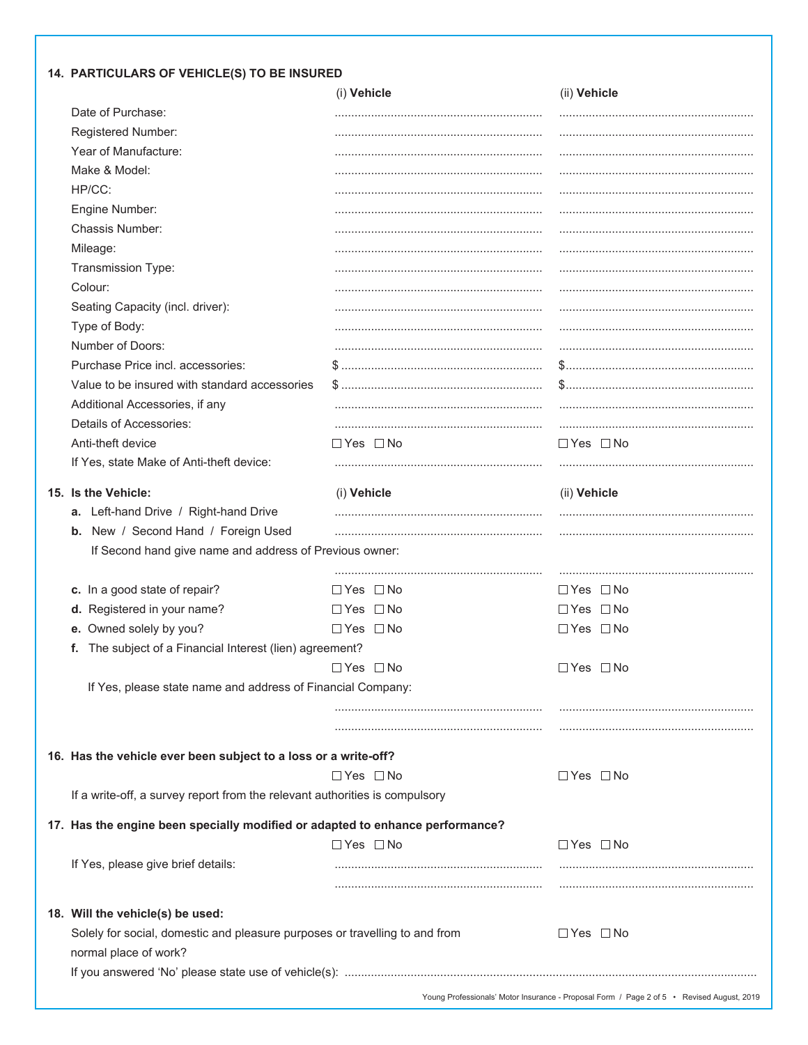### 14. PARTICULARS OF VEHICLE(S) TO BE INSURED

|                                                                               | (i) Vehicle          | (ii) Vehicle         |
|-------------------------------------------------------------------------------|----------------------|----------------------|
| Date of Purchase:                                                             |                      |                      |
| Registered Number:                                                            |                      |                      |
| Year of Manufacture:                                                          |                      |                      |
| Make & Model:                                                                 |                      |                      |
| HP/CC:                                                                        |                      |                      |
| Engine Number:                                                                |                      |                      |
| Chassis Number:                                                               |                      |                      |
| Mileage:                                                                      |                      |                      |
| Transmission Type:                                                            |                      |                      |
| Colour:                                                                       |                      |                      |
| Seating Capacity (incl. driver):                                              |                      |                      |
| Type of Body:                                                                 |                      |                      |
| Number of Doors:                                                              |                      |                      |
| Purchase Price incl. accessories:                                             |                      |                      |
| Value to be insured with standard accessories                                 |                      |                      |
| Additional Accessories, if any                                                |                      |                      |
| Details of Accessories:                                                       |                      |                      |
| Anti-theft device                                                             | $\Box$ Yes $\Box$ No | $\Box$ Yes $\Box$ No |
| If Yes, state Make of Anti-theft device:                                      |                      |                      |
| 15. Is the Vehicle:                                                           | (i) Vehicle          | (ii) Vehicle         |
| a. Left-hand Drive / Right-hand Drive                                         |                      |                      |
| b. New / Second Hand / Foreign Used                                           |                      |                      |
| If Second hand give name and address of Previous owner:                       |                      |                      |
|                                                                               |                      |                      |
| c. In a good state of repair?                                                 | $\Box$ Yes $\Box$ No | $\Box$ Yes $\Box$ No |
| d. Registered in your name?                                                   | $\Box$ Yes $\Box$ No | $\Box$ Yes $\Box$ No |
| e. Owned solely by you?                                                       | $\Box$ Yes $\Box$ No | $\Box$ Yes $\Box$ No |
| The subject of a Financial Interest (lien) agreement?<br>t.                   |                      |                      |
|                                                                               | $\Box$ Yes $\Box$ No | $\Box$ Yes $\Box$ No |
| If Yes, please state name and address of Financial Company:                   |                      |                      |
|                                                                               |                      |                      |
|                                                                               |                      |                      |
| 16. Has the vehicle ever been subject to a loss or a write-off?               |                      |                      |
|                                                                               | $\Box$ Yes $\Box$ No | $\Box$ Yes $\Box$ No |
| If a write-off, a survey report from the relevant authorities is compulsory   |                      |                      |
| 17. Has the engine been specially modified or adapted to enhance performance? |                      |                      |
|                                                                               | $\Box$ Yes $\Box$ No | $\Box$ Yes $\Box$ No |
| If Yes, please give brief details:                                            |                      |                      |
|                                                                               |                      |                      |
| 18. Will the vehicle(s) be used:                                              |                      |                      |
| Solely for social, domestic and pleasure purposes or travelling to and from   |                      | $\Box$ Yes $\Box$ No |
| normal place of work?                                                         |                      |                      |
|                                                                               |                      |                      |
|                                                                               |                      |                      |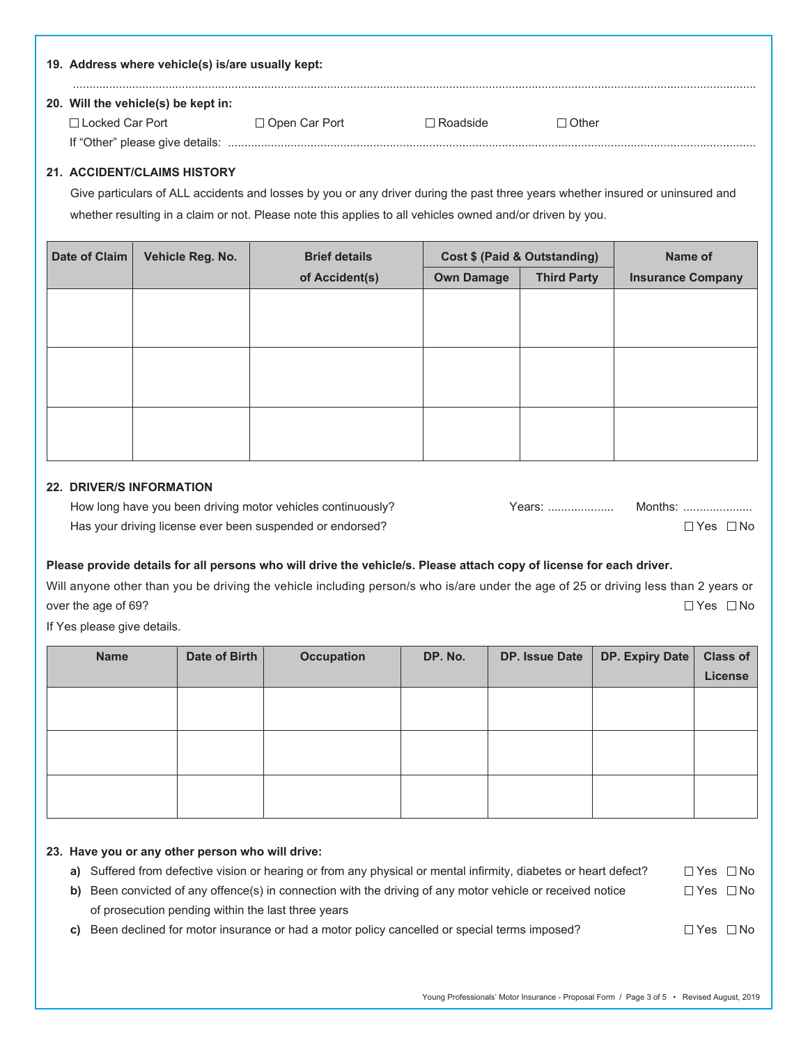| 19. Address where vehicle(s) is/are usually kept: |                      |             |         |
|---------------------------------------------------|----------------------|-------------|---------|
| 20. Will the vehicle(s) be kept in:               |                      |             |         |
| □ Locked Car Port                                 | $\Box$ Open Car Port | ⊟ Roadside. | ⊓ Other |
| If "Other" please give details:                   |                      |             |         |

#### **21. ACCIDENT/CLAIMS HISTORY**

 Give particulars of ALL accidents and losses by you or any driver during the past three years whether insured or uninsured and whether resulting in a claim or not. Please note this applies to all vehicles owned and/or driven by you.

| Date of Claim | Vehicle Reg. No. | <b>Brief details</b> | Cost \$ (Paid & Outstanding) |                    | Name of                  |  |
|---------------|------------------|----------------------|------------------------------|--------------------|--------------------------|--|
|               |                  | of Accident(s)       | <b>Own Damage</b>            | <b>Third Party</b> | <b>Insurance Company</b> |  |
|               |                  |                      |                              |                    |                          |  |
|               |                  |                      |                              |                    |                          |  |
|               |                  |                      |                              |                    |                          |  |
|               |                  |                      |                              |                    |                          |  |
|               |                  |                      |                              |                    |                          |  |
|               |                  |                      |                              |                    |                          |  |
|               |                  |                      |                              |                    |                          |  |
|               |                  |                      |                              |                    |                          |  |

#### **22. DRIVER/S INFORMATION**

 How long have you been driving motor vehicles continuously? Years: .................... Months: ..................... Has your driving license ever been suspended or endorsed?  $\square$  Yes  $\square$  No  $\square$  Yes  $\square$  No

| ars: | Months: |  |
|------|---------|--|
|      |         |  |

#### **Please provide details for all persons who will drive the vehicle/s. Please attach copy of license for each driver.**

Will anyone other than you be driving the vehicle including person/s who is/are under the age of 25 or driving less than 2 years or over the age of 69?  $\Box$  Yes  $\Box$  No

If Yes please give details.

| <b>Name</b> | Date of Birth | <b>Occupation</b> | DP. No. | DP. Issue Date | DP. Expiry Date | <b>Class of</b> |
|-------------|---------------|-------------------|---------|----------------|-----------------|-----------------|
|             |               |                   |         |                |                 | License         |
|             |               |                   |         |                |                 |                 |
|             |               |                   |         |                |                 |                 |
|             |               |                   |         |                |                 |                 |
|             |               |                   |         |                |                 |                 |
|             |               |                   |         |                |                 |                 |
|             |               |                   |         |                |                 |                 |

#### **23. Have you or any other person who will drive:**

| a) Suffered from defective vision or hearing or from any physical or mental infirmity, diabetes or heart defect? | $\Box$ Yes $\Box$ No |  |
|------------------------------------------------------------------------------------------------------------------|----------------------|--|
| b) Been convicted of any offence(s) in connection with the driving of any motor vehicle or received notice       | $\Box$ Yes $\Box$ No |  |
| of prosecution pending within the last three years                                                               |                      |  |

**c)** Been declined for motor insurance or had a motor policy cancelled or special terms imposed?  $\square$  Yes  $\square$  No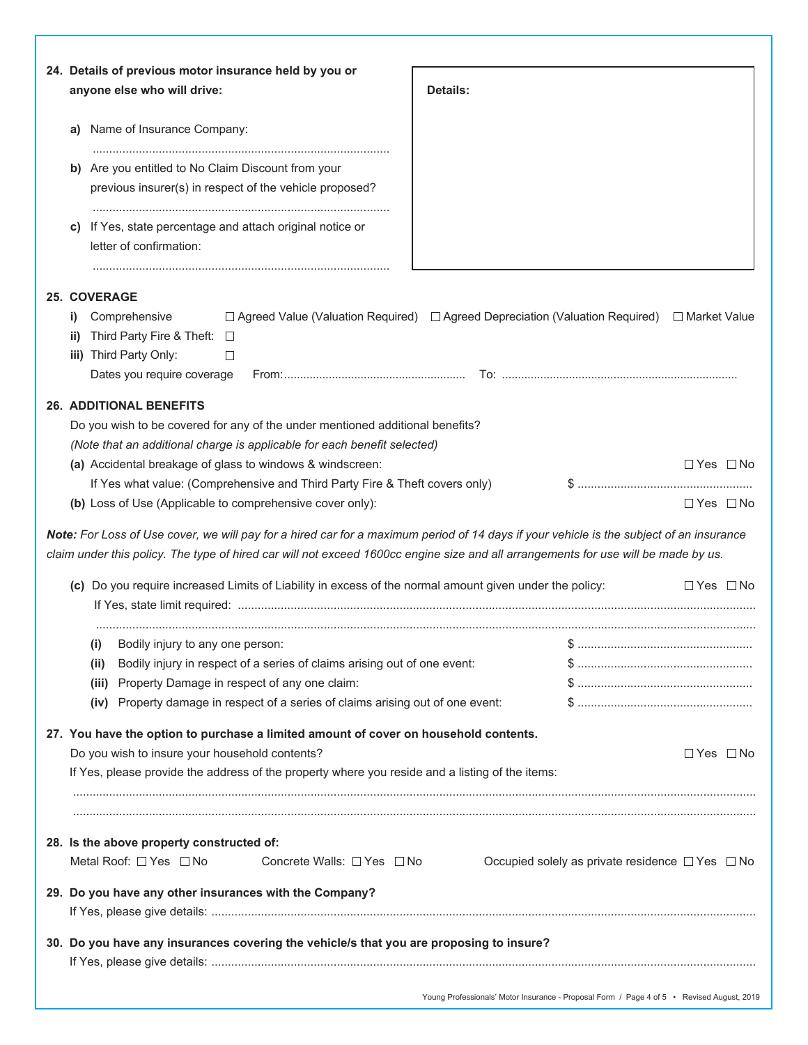|           | 24. Details of previous motor insurance held by you or<br>anyone else who will drive:                                                                                                                                                                                               | <b>Details:</b> |                                                           |                      |
|-----------|-------------------------------------------------------------------------------------------------------------------------------------------------------------------------------------------------------------------------------------------------------------------------------------|-----------------|-----------------------------------------------------------|----------------------|
|           | a) Name of Insurance Company:                                                                                                                                                                                                                                                       |                 |                                                           |                      |
|           | b) Are you entitled to No Claim Discount from your                                                                                                                                                                                                                                  |                 |                                                           |                      |
|           | previous insurer(s) in respect of the vehicle proposed?                                                                                                                                                                                                                             |                 |                                                           |                      |
| C)        | If Yes, state percentage and attach original notice or<br>letter of confirmation:                                                                                                                                                                                                   |                 |                                                           |                      |
|           | <b>25. COVERAGE</b>                                                                                                                                                                                                                                                                 |                 |                                                           |                      |
| i)<br>ii) | Comprehensive<br>$\Box$ Agreed Value (Valuation Required) $\Box$ Agreed Depreciation (Valuation Required) $\Box$ Market Value<br>Third Party Fire & Theft: □                                                                                                                        |                 |                                                           |                      |
|           | iii) Third Party Only:<br>□<br>Dates you require coverage                                                                                                                                                                                                                           |                 |                                                           |                      |
|           |                                                                                                                                                                                                                                                                                     |                 |                                                           |                      |
|           | <b>26. ADDITIONAL BENEFITS</b><br>Do you wish to be covered for any of the under mentioned additional benefits?<br>(Note that an additional charge is applicable for each benefit selected)                                                                                         |                 |                                                           |                      |
|           |                                                                                                                                                                                                                                                                                     |                 |                                                           | $\Box$ Yes $\Box$ No |
|           | (a) Accidental breakage of glass to windows & windscreen:                                                                                                                                                                                                                           |                 |                                                           |                      |
|           | If Yes what value: (Comprehensive and Third Party Fire & Theft covers only)<br>(b) Loss of Use (Applicable to comprehensive cover only):<br>Note: For Loss of Use cover, we will pay for a hired car for a maximum period of 14 days if your vehicle is the subject of an insurance |                 | \$…………………………………………………                                     | $\Box$ Yes $\Box$ No |
|           | claim under this policy. The type of hired car will not exceed 1600cc engine size and all arrangements for use will be made by us.<br>(c) Do you require increased Limits of Liability in excess of the normal amount given under the policy:                                       |                 |                                                           | $\Box$ Yes $\Box$ No |
|           |                                                                                                                                                                                                                                                                                     |                 |                                                           |                      |
|           | Bodily injury to any one person:<br>(i)<br>Bodily injury in respect of a series of claims arising out of one event:<br>(ii)                                                                                                                                                         |                 |                                                           |                      |
|           | Property Damage in respect of any one claim:<br>(iii)                                                                                                                                                                                                                               |                 |                                                           |                      |
|           | (iv) Property damage in respect of a series of claims arising out of one event:                                                                                                                                                                                                     |                 |                                                           |                      |
|           | 27. You have the option to purchase a limited amount of cover on household contents.                                                                                                                                                                                                |                 |                                                           |                      |
|           | Do you wish to insure your household contents?                                                                                                                                                                                                                                      |                 |                                                           | □ Yes □ No           |
|           | If Yes, please provide the address of the property where you reside and a listing of the items:                                                                                                                                                                                     |                 |                                                           |                      |
|           |                                                                                                                                                                                                                                                                                     |                 |                                                           |                      |
|           | 28. Is the above property constructed of:<br>Metal Roof: □ Yes □ No<br>Concrete Walls: □ Yes □ No                                                                                                                                                                                   |                 | Occupied solely as private residence $\Box$ Yes $\Box$ No |                      |
|           | 29. Do you have any other insurances with the Company?                                                                                                                                                                                                                              |                 |                                                           |                      |
|           | 30. Do you have any insurances covering the vehicle/s that you are proposing to insure?                                                                                                                                                                                             |                 |                                                           |                      |